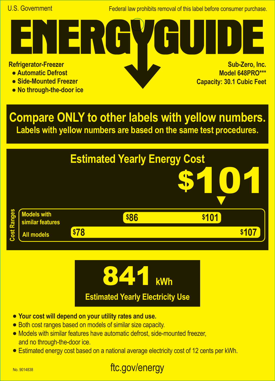Federal law prohibits removal of this label before consumer purchase.

**Refrigerator-Freezer**

- **Automatic Defrost**
- **Side-Mounted Freezer**
- **No through-the-door ice**

**Sub-Zero, Inc. Model 648PRO\*\*\* Capacity: 30.1 Cubic Feet A**

**Compare ONLY to other labels with yellow numbers. Labels with yellow numbers are based on the same test procedures.**





- **• Your cost will depend on your utility rates and use.**
- **•** Both cost ranges based on models of similar size capacity.
- **•** Models with similar features have automatic defrost, side-mounted freezer, and no through-the-door ice.
- **•** Estimated energy cost based on a national average electricity cost of 12 cents per kWh.

## ftc.gov/energy